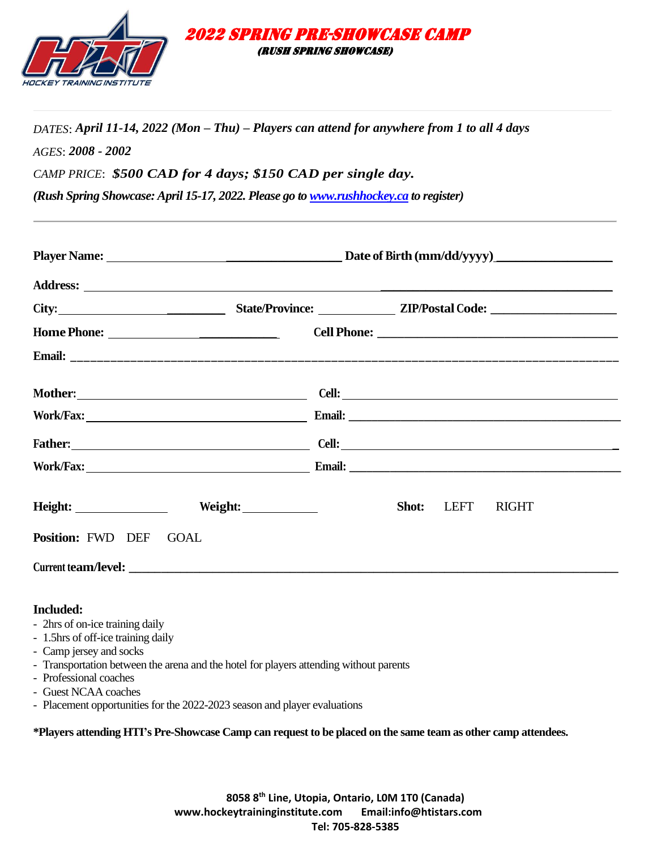

*DATES*: *April 11-14, 2022 (Mon – Thu) – Players can attend for anywhere from 1 to all 4 days AGES*: *2008 - 2002 CAMP PRICE*: *\$500 CAD for 4 days; \$150 CAD per single day.* 

 2022 Spring Pre-showcase CAMP (rush spring showcase)

*(Rush Spring Showcase: April 15-17, 2022. Please go t[o www.rushhockey.ca](http://www.rushhockey.ca/) to register)* 

| City: City: City: City: City: City: City: City: City: City: City: City: City: City: City: City: City: City: City: City: City: City: City: City: City: City: City: City: City: City: City: City: City: City: City: City: City: |  |       |      |              |
|-------------------------------------------------------------------------------------------------------------------------------------------------------------------------------------------------------------------------------|--|-------|------|--------------|
| Home Phone:                                                                                                                                                                                                                   |  |       |      |              |
|                                                                                                                                                                                                                               |  |       |      |              |
|                                                                                                                                                                                                                               |  |       |      |              |
|                                                                                                                                                                                                                               |  |       |      |              |
|                                                                                                                                                                                                                               |  |       |      |              |
|                                                                                                                                                                                                                               |  |       |      |              |
| Weight:                                                                                                                                                                                                                       |  | Shot: | LEFT | <b>RIGHT</b> |
| Position: FWD DEF GOAL                                                                                                                                                                                                        |  |       |      |              |
|                                                                                                                                                                                                                               |  |       |      |              |

### **Included:**

- 2hrs of on-ice training daily
- 1.5hrs of off-ice training daily
- Camp jersey and socks
- Transportation between the arena and the hotel for players attending without parents
- Professional coaches
- Guest NCAA coaches
- Placement opportunities for the 2022-2023 season and player evaluations

**\*Players attending HTI's Pre-Showcase Camp can request to be placed on the same team as other camp attendees.**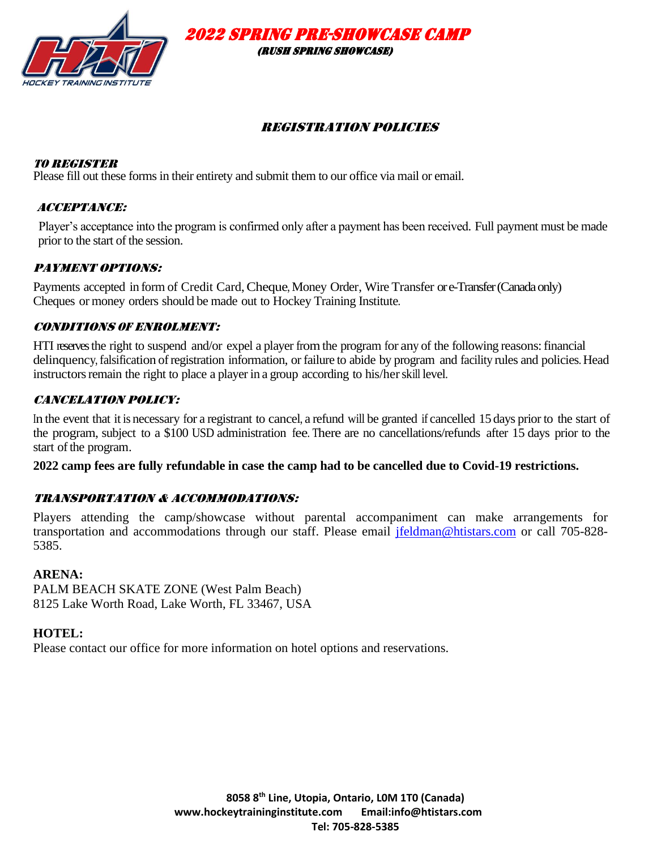

2022 Spring Pre-showcase CAMP

(rush spring showcase)

# Registration Policies

### To Register

Please fill out these forms in their entirety and submit them to our office via mail or email.

### Acceptance:

Player's acceptance into the program is confirmed only after a payment has been received. Full payment must be made prior to the start of the session.

### PAYMENT OPTIONS:

Payments accepted in form of Credit Card, Cheque, Money Order, Wire Transfer or e-Transfer (Canada only) Cheques or money orders should be made out to Hockey Training Institute.

### Conditions of Enrolment:

HTI reserves the right to suspend and/or expel a player from the program for any of the following reasons: financial delinquency, falsification ofregistration information, or failure to abide by program and facility rules and policies. Head instructors remain the right to place a player in a group according to his/her skill level.

### CANCELATION POLICY:

In the event that it is necessary for a registrant to cancel, a refund will be granted if cancelled 15 days prior to the start of the program, subject to a \$100 USD administration fee. There are no cancellations/refunds after 15 days prior to the start of the program.

**2022 camp fees are fully refundable in case the camp had to be cancelled due to Covid-19 restrictions.** 

### Transportation & accommodations:

Players attending the camp/showcase without parental accompaniment can make arrangements for transportation and accommodations through our staff. Please email [jfeldman@htistars.com](mailto:jfeldman@htistars.com) or call 705-828- 5385.

### **ARENA:**

PALM BEACH SKATE ZONE (West Palm Beach) 8125 Lake Worth Road, Lake Worth, FL 33467, USA

### **HOTEL:**

Please contact our office for more information on hotel options and reservations.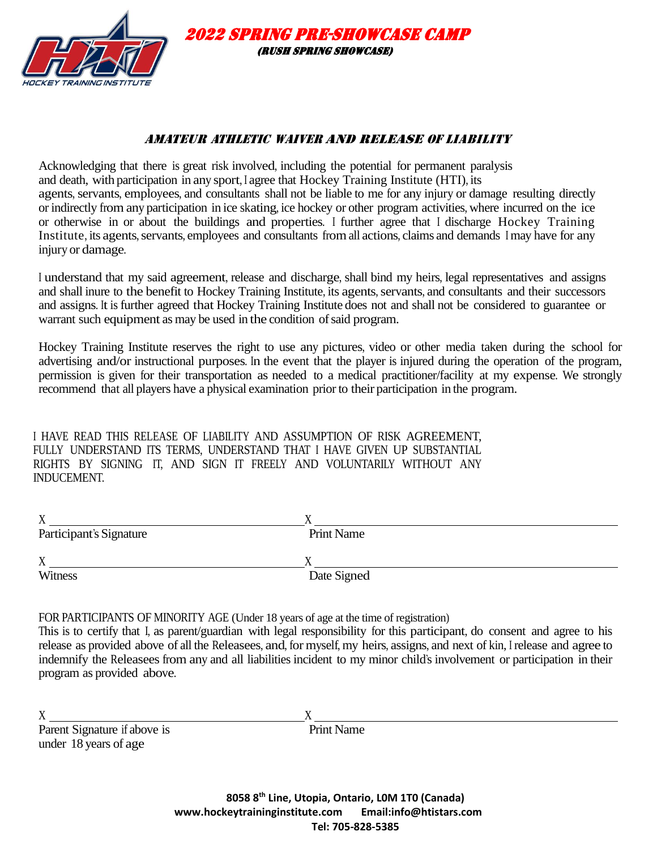

## AMATEUR ATHLETIC WAIVER AND RELEASE OF LIABILITY

 2022 Spring Pre-showcase CAMP (rush spring showcase)

Acknowledging that there is great risk involved, including the potential for permanent paralysis and death, with participation in any sport, <sup>I</sup> agree that Hockey Training Institute (HTI), its agents, servants, employees, and consultants shall not be liable to me for any injury or damage resulting directly or indirectly from any participation in ice skating, ice hockey or other program activities, where incurred on the ice or otherwise in or about the buildings and properties. <sup>I</sup> further agree that <sup>I</sup> discharge Hockey Training Institute, its agents, servants, employees and consultants from all actions, claims and demands I may have for any injury or damage.

<sup>I</sup> understand that my said agreement, release and discharge, shall bind my heirs, legal representatives and assigns and shall inure to the benefit to Hockey Training Institute, its agents, servants, and consultants and their successors and assigns. It is further agreed that Hockey Training Institute does not and shall not be considered to guarantee or warrant such equipment as may be used in the condition of said program.

Hockey Training Institute reserves the right to use any pictures, video or other media taken during the school for advertising and/or instructional purposes. In the event that the player is injured during the operation of the program, permission is given for their transportation as needed to a medical practitioner/facility at my expense. We strongly recommend that all players have a physical examination prior to their participation in the program.

I HAVE READ THIS RELEASE OF LIABILITY AND ASSUMPTION OF RISK AGREEMENT, FULLY UNDERSTAND ITS TERMS, UNDERSTAND THAT I HAVE GIVEN UP SUBSTANTIAL RIGHTS BY SIGNING IT, AND SIGN IT FREELY AND VOLUNTARILY WITHOUT ANY INDUCEMENT.

| <b>Print Name</b> |
|-------------------|
|                   |
|                   |
| Date Signed       |
|                   |

FOR PARTICIPANTS OF MINORITY AGE (Under 18 years of age at the time of registration)

This is to certify that I, as parent/guardian with legal responsibility for this participant, do consent and agree to his release as provided above of all the Releasees, and, for myself, my heirs, assigns, and next of kin, <sup>I</sup> release and agree to indemnify the Releasees from any and all liabilities incident to my minor child's involvement or participation in their program as provided above.

 $X \sim X$ Parent Signature if above is Print Name under 18 years of age

**8058 8th Line, Utopia, Ontario, L0M 1T0 (Canada) www.hockeytraininginstitute.com Email:info@htistars.com Tel: 705-828-5385**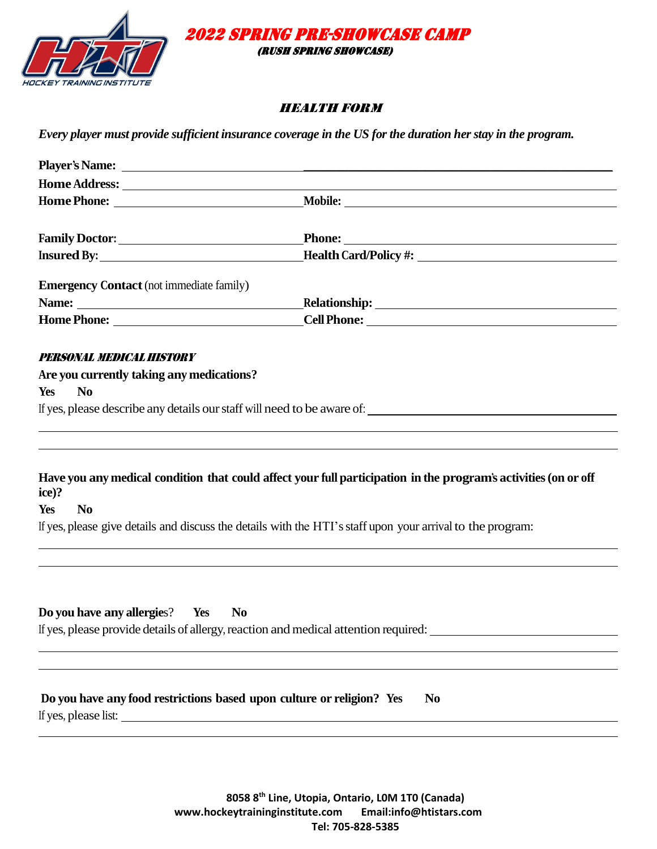



### health Form

*Every player must provide sufficient insurance coverage in the US for the duration her stay in the program.* 

| <b>Emergency Contact</b> (not immediate family)                                                                                                                                                                                      |                                                                                                                 |
|--------------------------------------------------------------------------------------------------------------------------------------------------------------------------------------------------------------------------------------|-----------------------------------------------------------------------------------------------------------------|
| Name: <u>2000 - 2000 - 2000 - 2000 - 2000 - 2000 - 2000 - 2000 - 2000 - 2000 - 2000 - 2000 - 2000 - 2000 - 2000 - 2000 - 2000 - 2000 - 2000 - 2000 - 2000 - 2000 - 2000 - 2000 - 2000 - 2000 - 2000 - 2000 - 2000 - 2000 - 2000 </u> |                                                                                                                 |
|                                                                                                                                                                                                                                      |                                                                                                                 |
| PERSONAL MEDICAL HISTORY                                                                                                                                                                                                             |                                                                                                                 |
| Are you currently taking any medications?                                                                                                                                                                                            |                                                                                                                 |
| Yes<br><b>No</b>                                                                                                                                                                                                                     |                                                                                                                 |
|                                                                                                                                                                                                                                      | If yes, please describe any details our staff will need to be aware of:                                         |
| ice)?<br>N <sub>0</sub><br>Yes<br>If yes, please give details and discuss the details with the HTI's staff upon your arrival to the program:                                                                                         | Have you any medical condition that could affect your full participation in the program's activities (on or off |
| Do you have any allergies? Yes<br><b>No</b><br>If yes, please provide details of allergy, reaction and medical attention required:                                                                                                   |                                                                                                                 |
| Do you have any food restrictions based upon culture or religion? Yes<br>If yes, please list:                                                                                                                                        | N <sub>0</sub>                                                                                                  |

**8058 8th Line, Utopia, Ontario, L0M 1T0 (Canada) www.hockeytraininginstitute.com Email:info@htistars.com Tel: 705-828-5385**